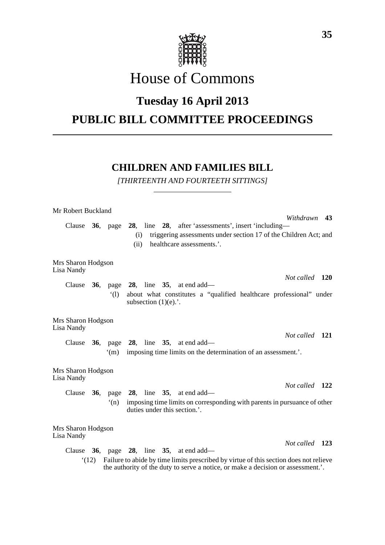

# House of Commons

## **Tuesday 16 April 2013**

### **PUBLIC BILL COMMITTEE PROCEEDINGS**

### **CHILDREN AND FAMILIES BILL**

*[THIRTEENTH AND FOURTEETH SITTINGS]*

| Mr Robert Buckland                                                                                                                                                                |  |                |                                                                                                                                                                                               |  |  |  |  |  |  |  |
|-----------------------------------------------------------------------------------------------------------------------------------------------------------------------------------|--|----------------|-----------------------------------------------------------------------------------------------------------------------------------------------------------------------------------------------|--|--|--|--|--|--|--|
| Clause                                                                                                                                                                            |  |                | Withdrawn 43<br>36, page 28, line 28, after 'assessments', insert 'including-<br>triggering assessments under section 17 of the Children Act; and<br>(i)<br>healthcare assessments.'.<br>(ii) |  |  |  |  |  |  |  |
| Mrs Sharon Hodgson<br>Lisa Nandy                                                                                                                                                  |  |                |                                                                                                                                                                                               |  |  |  |  |  |  |  |
| Clause                                                                                                                                                                            |  |                | Not called 120<br><b>36</b> , page <b>28</b> , line <b>35</b> , at end add—                                                                                                                   |  |  |  |  |  |  |  |
|                                                                                                                                                                                   |  | $\dot{\Omega}$ | about what constitutes a "qualified healthcare professional" under<br>subsection $(1)(e)$ .                                                                                                   |  |  |  |  |  |  |  |
| Mrs Sharon Hodgson<br>Lisa Nandy                                                                                                                                                  |  |                |                                                                                                                                                                                               |  |  |  |  |  |  |  |
|                                                                                                                                                                                   |  | $\mathrm{m}$   | Not called 121<br>Clause $36$ , page $28$ , line $35$ , at end add—<br>imposing time limits on the determination of an assessment.'.                                                          |  |  |  |  |  |  |  |
| Mrs Sharon Hodgson<br>Lisa Nandy                                                                                                                                                  |  |                |                                                                                                                                                                                               |  |  |  |  |  |  |  |
| Clause $36$ ,                                                                                                                                                                     |  |                | Not called 122<br>page 28, line 35, at end add—                                                                                                                                               |  |  |  |  |  |  |  |
|                                                                                                                                                                                   |  | (n)            | imposing time limits on corresponding with parents in pursuance of other<br>duties under this section.'.                                                                                      |  |  |  |  |  |  |  |
| Mrs Sharon Hodgson<br>Lisa Nandy                                                                                                                                                  |  |                |                                                                                                                                                                                               |  |  |  |  |  |  |  |
| Clause                                                                                                                                                                            |  |                | Not called 123<br><b>36</b> , page <b>28</b> , line <b>35</b> , at end add—                                                                                                                   |  |  |  |  |  |  |  |
| Failure to abide by time limits prescribed by virtue of this section does not relieve<br>(12)<br>the authority of the duty to serve a notice, or make a decision or assessment.'. |  |                |                                                                                                                                                                                               |  |  |  |  |  |  |  |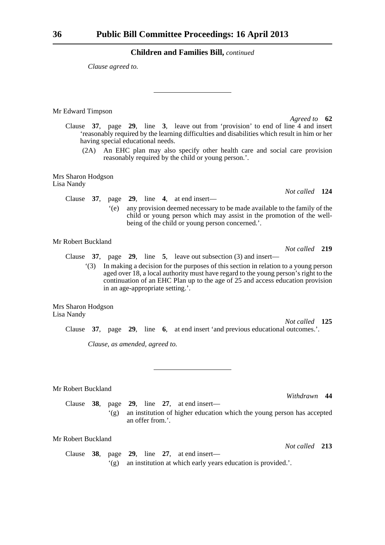*Clause agreed to.*

Mr Edward Timpson

Clause **37**, page **29**, line **3**, leave out from 'provision' to end of line 4 and insert 'reasonably required by the learning difficulties and disabilities which result in him or her having special educational needs.

(2A) An EHC plan may also specify other health care and social care provision reasonably required by the child or young person.'.

Mrs Sharon Hodgson Lisa Nandy

> Clause **37**, page **29**, line **4**, at end insert— '(e) any provision deemed necessary to be made available to the family of the child or young person which may assist in the promotion of the wellbeing of the child or young person concerned.'.

#### Mr Robert Buckland

Clause **37**, page **29**, line **5**, leave out subsection (3) and insert—

'(3) In making a decision for the purposes of this section in relation to a young person aged over 18, a local authority must have regard to the young person's right to the continuation of an EHC Plan up to the age of 25 and access education provision in an age-appropriate setting.'.

Mrs Sharon Hodgson Lisa Nandy

Clause **37**, page **29**, line **6**, at end insert 'and previous educational outcomes.'.

*Clause, as amended, agreed to.*

Mr Robert Buckland

Clause **38**, page **29**, line **27**, at end insert— '(g) an institution of higher education which the young person has accepted an offer from.'.

Mr Robert Buckland

Clause **38**, page **29**, line **27**, at end insert— '(g) an institution at which early years education is provided.'.

*Agreed to* **62**

*Not called* **219**

*Not called* **124**

*Not called* **125**

*Withdrawn* **44**

*Not called* **213**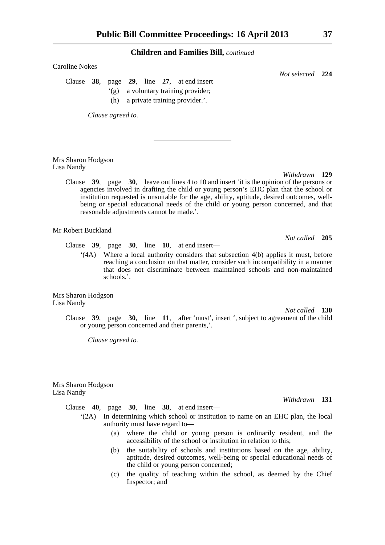Caroline Nokes

Clause **38**, page **29**, line **27**, at end insert—

- '(g) a voluntary training provider;
- (h) a private training provider.'.

*Clause agreed to.*

Mrs Sharon Hodgson Lisa Nandy

*Withdrawn* **129**

*Not called* **205**

*Not selected* **224**

Clause **39**, page **30**, leave out lines 4 to 10 and insert 'it is the opinion of the persons or agencies involved in drafting the child or young person's EHC plan that the school or institution requested is unsuitable for the age, ability, aptitude, desired outcomes, wellbeing or special educational needs of the child or young person concerned, and that reasonable adjustments cannot be made.'.

Mr Robert Buckland

Clause **39**, page **30**, line **10**, at end insert—

'(4A) Where a local authority considers that subsection 4(b) applies it must, before reaching a conclusion on that matter, consider such incompatibility in a manner that does not discriminate between maintained schools and non-maintained schools.'.

Mrs Sharon Hodgson Lisa Nandy

*Not called* **130**

Clause **39**, page **30**, line **11**, after 'must', insert ', subject to agreement of the child or young person concerned and their parents,'.

*Clause agreed to.*

Mrs Sharon Hodgson Lisa Nandy

*Withdrawn* **131**

Clause **40**, page **30**, line **38**, at end insert—

- '(2A) In determining which school or institution to name on an EHC plan, the local authority must have regard to—
	- (a) where the child or young person is ordinarily resident, and the accessibility of the school or institution in relation to this;
	- (b) the suitability of schools and institutions based on the age, ability, aptitude, desired outcomes, well-being or special educational needs of the child or young person concerned;
	- (c) the quality of teaching within the school, as deemed by the Chief Inspector; and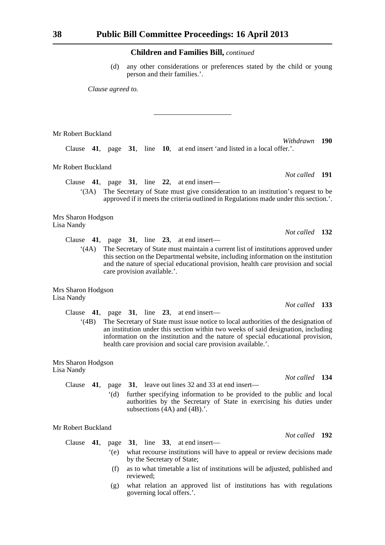(d) any other considerations or preferences stated by the child or young person and their families.'.

*Clause agreed to.*

*Withdrawn* **190** Clause **41**, page **31**, line **10**, at end insert 'and listed in a local offer.'.

Mr Robert Buckland

Mr Robert Buckland

Clause **41**, page **31**, line **22**, at end insert—

'(3A) The Secretary of State must give consideration to an institution's request to be approved if it meets the criteria outlined in Regulations made under this section.'.

Mrs Sharon Hodgson Lisa Nandy

Clause **41**, page **31**, line **23**, at end insert—

'(4A) The Secretary of State must maintain a current list of institutions approved under this section on the Departmental website, including information on the institution and the nature of special educational provision, health care provision and social care provision available.'.

Mrs Sharon Hodgson Lisa Nandy

Clause **41**, page **31**, line **23**, at end insert—

'(4B) The Secretary of State must issue notice to local authorities of the designation of an institution under this section within two weeks of said designation, including information on the institution and the nature of special educational provision, health care provision and social care provision available.'.

Mrs Sharon Hodgson Lisa Nandy

> Clause **41**, page **31**, leave out lines 32 and 33 at end insert— '(d) further specifying information to be provided to the public and local authorities by the Secretary of State in exercising his duties under subsections  $(4A)$  and  $(4B)$ .

#### Mr Robert Buckland

Clause **41**, page **31**, line **33**, at end insert— '(e) what recourse institutions will have to appeal or review decisions made by the Secretary of State;

- (f) as to what timetable a list of institutions will be adjusted, published and reviewed;
- (g) what relation an approved list of institutions has with regulations governing local offers.'.

*Not called* **191**

*Not called* **132**

*Not called* **133**

*Not called* **134**

*Not called* **192**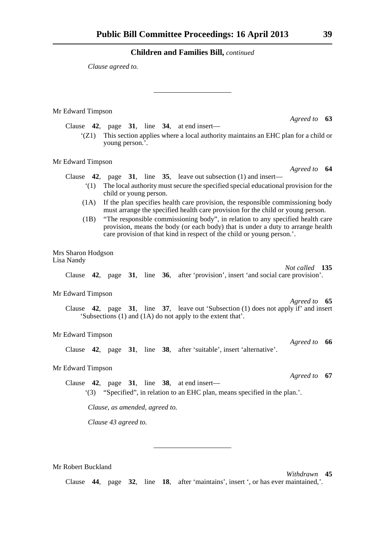*Clause agreed to.*

Mr Edward Timpson

Clause **42**, page **31**, line **34**, at end insert—

'(Z1) This section applies where a local authority maintains an EHC plan for a child or young person.'.

Mr Edward Timpson

*Agreed to* **64** Clause **42**, page **31**, line **35**, leave out subsection (1) and insert—

- '(1) The local authority must secure the specified special educational provision for the child or young person.
- (1A) If the plan specifies health care provision, the responsible commissioning body must arrange the specified health care provision for the child or young person.
- (1B) "The responsible commissioning body", in relation to any specified health care provision, means the body (or each body) that is under a duty to arrange health care provision of that kind in respect of the child or young person.'.

Mrs Sharon Hodgson Lisa Nandy

> *Not called* **135** Clause **42**, page **31**, line **36**, after 'provision', insert 'and social care provision'.

#### Mr Edward Timpson

*Agreed to* **65** Clause **42**, page **31**, line **37**, leave out 'Subsection (1) does not apply if' and insert 'Subsections (1) and (1A) do not apply to the extent that'.

#### Mr Edward Timpson

Clause **42**, page **31**, line **38**, after 'suitable', insert 'alternative'.

#### Mr Edward Timpson

Clause **42**, page **31**, line **38**, at end insert— '(3) "Specified", in relation to an EHC plan, means specified in the plan.'.

*Clause, as amended, agreed to.*

*Clause 43 agreed to.*

Mr Robert Buckland

*Withdrawn* **45**

*Agreed to* **66**

*Agreed to* **67**

Clause **44**, page **32**, line **18**, after 'maintains', insert ', or has ever maintained,'.

*Agreed to* **63**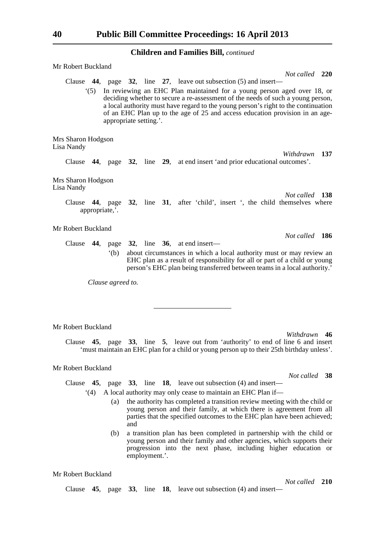| Mr Robert Buckland                       |                                                                                                                                                                                                                                                                                                                                                                                                                                                                  |
|------------------------------------------|------------------------------------------------------------------------------------------------------------------------------------------------------------------------------------------------------------------------------------------------------------------------------------------------------------------------------------------------------------------------------------------------------------------------------------------------------------------|
| (5)                                      | Not called 220<br>Clause $\,$ 44, page $\,$ 32, line $\,$ 27, leave out subsection (5) and insert-<br>In reviewing an EHC Plan maintained for a young person aged over 18, or<br>deciding whether to secure a re-assessment of the needs of such a young person,<br>a local authority must have regard to the young person's right to the continuation<br>of an EHC Plan up to the age of 25 and access education provision in an age-<br>appropriate setting.'. |
| Mrs Sharon Hodgson<br>Lisa Nandy         |                                                                                                                                                                                                                                                                                                                                                                                                                                                                  |
|                                          | Withdrawn<br>137<br>Clause 44, page 32, line 29, at end insert 'and prior educational outcomes'.                                                                                                                                                                                                                                                                                                                                                                 |
| Mrs Sharon Hodgson<br>Lisa Nandy         | Not called 138<br>Clause 44, page 32, line 31, after 'child', insert ', the child themselves where                                                                                                                                                                                                                                                                                                                                                               |
| appropriate,'.                           |                                                                                                                                                                                                                                                                                                                                                                                                                                                                  |
| Mr Robert Buckland                       | Not called 186                                                                                                                                                                                                                                                                                                                                                                                                                                                   |
|                                          | Clause $44$ , page $32$ , line $36$ , at end insert—<br>about circumstances in which a local authority must or may review an<br>(b)<br>EHC plan as a result of responsibility for all or part of a child or young<br>person's EHC plan being transferred between teams in a local authority.'<br>Clause agreed to.                                                                                                                                               |
| Mr Robert Buckland<br>Mr Dobort Buckland | Withdrawn<br>46<br>Clause 45, page 33, line 5, leave out from 'authority' to end of line 6 and insert<br>'must maintain an EHC plan for a child or young person up to their 25th birthday unless'.                                                                                                                                                                                                                                                               |

#### Mr Robert Buckland

*Not called* **38**

Clause **45**, page **33**, line **18**, leave out subsection (4) and insert—

Clause **45**, page **33**, line **18**, leave out subsection (4) and insert—

- '(4) A local authority may only cease to maintain an EHC Plan if—
	- (a) the authority has completed a transition review meeting with the child or young person and their family, at which there is agreement from all parties that the specified outcomes to the EHC plan have been achieved; and
	- (b) a transition plan has been completed in partnership with the child or young person and their family and other agencies, which supports their progression into the next phase, including higher education or employment.'.

Mr Robert Buckland

*Not called* **210**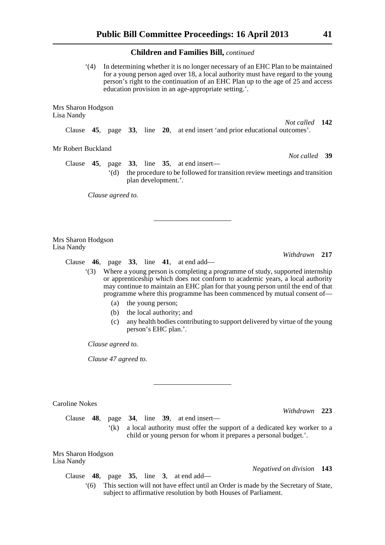'(4) In determining whether it is no longer necessary of an EHC Plan to be maintained for a young person aged over 18, a local authority must have regard to the young person's right to the continuation of an EHC Plan up to the age of 25 and access education provision in an age-appropriate setting.'.

Mrs Sharon Hodgson Lisa Nandy

> *Not called* **142** Clause **45**, page **33**, line **20**, at end insert 'and prior educational outcomes'.

Mr Robert Buckland

Clause **45**, page **33**, line **35**, at end insert— '(d) the procedure to be followed for transition review meetings and transition plan development.'.

*Clause agreed to.*

Mrs Sharon Hodgson Lisa Nandy

Clause **46**, page **33**, line **41**, at end add—

'(3) Where a young person is completing a programme of study, supported internship or apprenticeship which does not conform to academic years, a local authority may continue to maintain an EHC plan for that young person until the end of that programme where this programme has been commenced by mutual consent of—

- (a) the young person;
- (b) the local authority; and
- (c) any health bodies contributing to support delivered by virtue of the young person's EHC plan.'.

*Clause agreed to.*

*Clause 47 agreed to.*

| Caroline Nokes                   |     |             |                                                                                                                                            |  |  |                                                                                                                                                        |                           |  |
|----------------------------------|-----|-------------|--------------------------------------------------------------------------------------------------------------------------------------------|--|--|--------------------------------------------------------------------------------------------------------------------------------------------------------|---------------------------|--|
|                                  |     |             |                                                                                                                                            |  |  |                                                                                                                                                        | Withdrawn 223             |  |
| Clause                           | 48. |             |                                                                                                                                            |  |  | page $34$ , line $39$ , at end insert—                                                                                                                 |                           |  |
|                                  |     | $\cdot$ (k) | a local authority must offer the support of a dedicated key worker to a<br>child or young person for whom it prepares a personal budget.'. |  |  |                                                                                                                                                        |                           |  |
| Mrs Sharon Hodgson<br>Lisa Nandy |     |             |                                                                                                                                            |  |  |                                                                                                                                                        |                           |  |
|                                  |     |             |                                                                                                                                            |  |  |                                                                                                                                                        | Negatived on division 143 |  |
|                                  |     |             |                                                                                                                                            |  |  | Clause $48$ , page $35$ , line $3$ , at end add—                                                                                                       |                           |  |
|                                  | (6) |             |                                                                                                                                            |  |  | This section will not have effect until an Order is made by the Secretary of State,<br>subject to affirmative resolution by both Houses of Parliament. |                           |  |

*Not called* **39**

*Withdrawn* **217**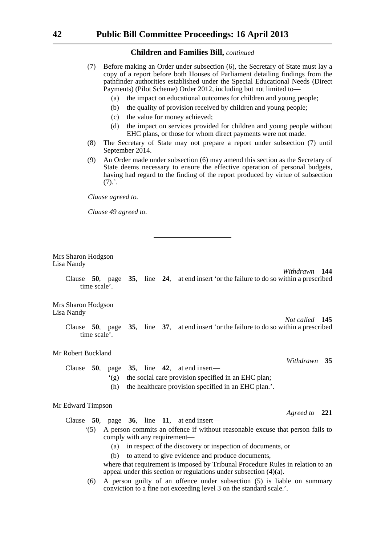- (7) Before making an Order under subsection (6), the Secretary of State must lay a copy of a report before both Houses of Parliament detailing findings from the pathfinder authorities established under the Special Educational Needs (Direct Payments) (Pilot Scheme) Order 2012, including but not limited to—
	- (a) the impact on educational outcomes for children and young people;
	- (b) the quality of provision received by children and young people;
	- (c) the value for money achieved;
	- (d) the impact on services provided for children and young people without EHC plans, or those for whom direct payments were not made.
- (8) The Secretary of State may not prepare a report under subsection (7) until September 2014.
- (9) An Order made under subsection (6) may amend this section as the Secretary of State deems necessary to ensure the effective operation of personal budgets, having had regard to the finding of the report produced by virtue of subsection  $(7).'.$

*Clause agreed to.*

*Clause 49 agreed to.*

Mrs Sharon Hodgson Lisa Nandy

*Withdrawn* **144**

*Not called* **145**

*Withdrawn* **35**

*Agreed to* **221**

Clause **50**, page **35**, line **24**, at end insert 'or the failure to do so within a prescribed time scale'.

Mrs Sharon Hodgson Lisa Nandy

> Clause **50**, page **35**, line **37**, at end insert 'or the failure to do so within a prescribed time scale'.

#### Mr Robert Buckland

Clause **50**, page **35**, line **42**, at end insert—

- '(g) the social care provision specified in an EHC plan;
- (h) the healthcare provision specified in an EHC plan.'.

#### Mr Edward Timpson

Clause **50**, page **36**, line **11**, at end insert—

- '(5) A person commits an offence if without reasonable excuse that person fails to comply with any requirement—
	- (a) in respect of the discovery or inspection of documents, or
	- (b) to attend to give evidence and produce documents,
	- where that requirement is imposed by Tribunal Procedure Rules in relation to an appeal under this section or regulations under subsection (4)(a).
- (6) A person guilty of an offence under subsection (5) is liable on summary conviction to a fine not exceeding level 3 on the standard scale.'.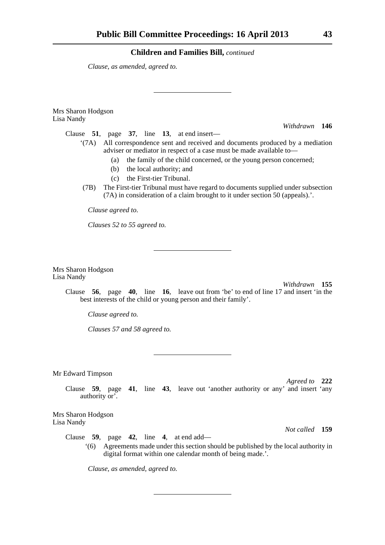*Clause, as amended, agreed to.*

Mrs Sharon Hodgson Lisa Nandy

*Withdrawn* **146**

- Clause **51**, page **37**, line **13**, at end insert—
	- '(7A) All correspondence sent and received and documents produced by a mediation adviser or mediator in respect of a case must be made available to—
		- (a) the family of the child concerned, or the young person concerned;
		- (b) the local authority; and
		- (c) the First-tier Tribunal.
		- (7B) The First-tier Tribunal must have regard to documents supplied under subsection (7A) in consideration of a claim brought to it under section 50 (appeals).'.

*Clause agreed to.*

*Clauses 52 to 55 agreed to.*

Mrs Sharon Hodgson Lisa Nandy

*Withdrawn* **155**

Clause **56**, page **40**, line **16**, leave out from 'be' to end of line 17 and insert 'in the best interests of the child or young person and their family'.

*Clause agreed to.*

*Clauses 57 and 58 agreed to.*

Mr Edward Timpson

*Agreed to* **222**

Clause **59**, page **41**, line **43**, leave out 'another authority or any' and insert 'any authority or'.

Mrs Sharon Hodgson Lisa Nandy

*Not called* **159**

Clause **59**, page **42**, line **4**, at end add—

'(6) Agreements made under this section should be published by the local authority in digital format within one calendar month of being made.'.

*Clause, as amended, agreed to.*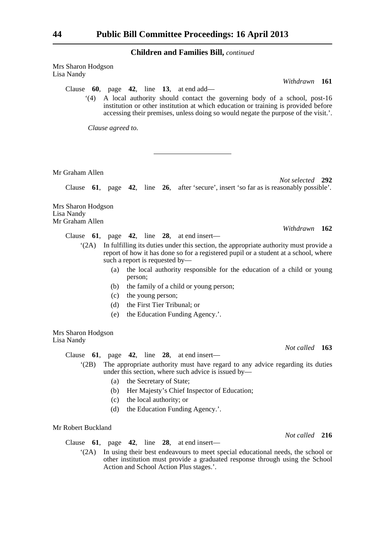Mrs Sharon Hodgson Lisa Nandy

Clause **60**, page **42**, line **13**, at end add—

'(4) A local authority should contact the governing body of a school, post-16 institution or other institution at which education or training is provided before accessing their premises, unless doing so would negate the purpose of the visit.'.

*Clause agreed to.*

Mr Graham Allen

*Not selected* **292**

*Withdrawn* **162**

*Not called* **163**

*Not called* **216**

*Withdrawn* **161**

Clause **61**, page **42**, line **26**, after 'secure', insert 'so far as is reasonably possible'.

Mrs Sharon Hodgson Lisa Nandy Mr Graham Allen

Clause **61**, page **42**, line **28**, at end insert—

- '(2A) In fulfilling its duties under this section, the appropriate authority must provide a report of how it has done so for a registered pupil or a student at a school, where such a report is requested by—
	- (a) the local authority responsible for the education of a child or young person;
	- (b) the family of a child or young person;
	- (c) the young person;
	- (d) the First Tier Tribunal; or
	- (e) the Education Funding Agency.'.

Mrs Sharon Hodgson Lisa Nandy

Clause **61**, page **42**, line **28**, at end insert—

- '(2B) The appropriate authority must have regard to any advice regarding its duties under this section, where such advice is issued by—
	- (a) the Secretary of State;
	- (b) Her Majesty's Chief Inspector of Education;
	- (c) the local authority; or
	- (d) the Education Funding Agency.'.

#### Mr Robert Buckland

Clause **61**, page **42**, line **28**, at end insert—

'(2A) In using their best endeavours to meet special educational needs, the school or other institution must provide a graduated response through using the School Action and School Action Plus stages.'.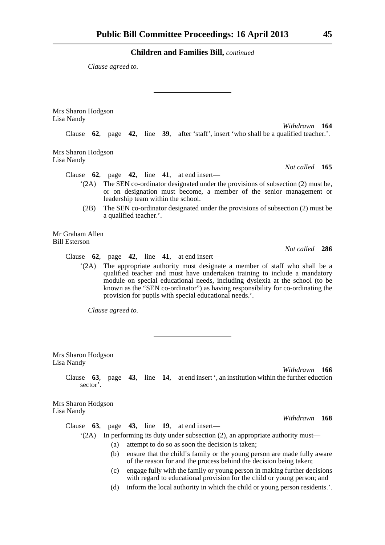*Clause agreed to.*

Mrs Sharon Hodgson Lisa Nandy *Withdrawn* **164** Clause **62**, page **42**, line **39**, after 'staff', insert 'who shall be a qualified teacher.'. Mrs Sharon Hodgson Lisa Nandy *Not called* **165** Clause **62**, page **42**, line **41**, at end insert— '(2A) The SEN co-ordinator designated under the provisions of subsection (2) must be, or on designation must become, a member of the senior management or leadership team within the school. (2B) The SEN co-ordinator designated under the provisions of subsection (2) must be a qualified teacher.'. Mr Graham Allen Bill Esterson *Not called* **286** Clause **62**, page **42**, line **41**, at end insert— '(2A) The appropriate authority must designate a member of staff who shall be a qualified teacher and must have undertaken training to include a mandatory module on special educational needs, including dyslexia at the school (to be known as the "SEN co-ordinator") as having responsibility for co-ordinating the provision for pupils with special educational needs.'. *Clause agreed to.* Mrs Sharon Hodgson Lisa Nandy *Withdrawn* **166**

Clause **63**, page **43**, line **14**, at end insert ', an institution within the further eduction sector'.

Mrs Sharon Hodgson Lisa Nandy

*Withdrawn* **168**

Clause **63**, page **43**, line **19**, at end insert— '(2A) In performing its duty under subsection (2), an appropriate authority must—

- (a) attempt to do so as soon the decision is taken;
- (b) ensure that the child's family or the young person are made fully aware of the reason for and the process behind the decision being taken;
- (c) engage fully with the family or young person in making further decisions with regard to educational provision for the child or young person; and
- (d) inform the local authority in which the child or young person residents.'.